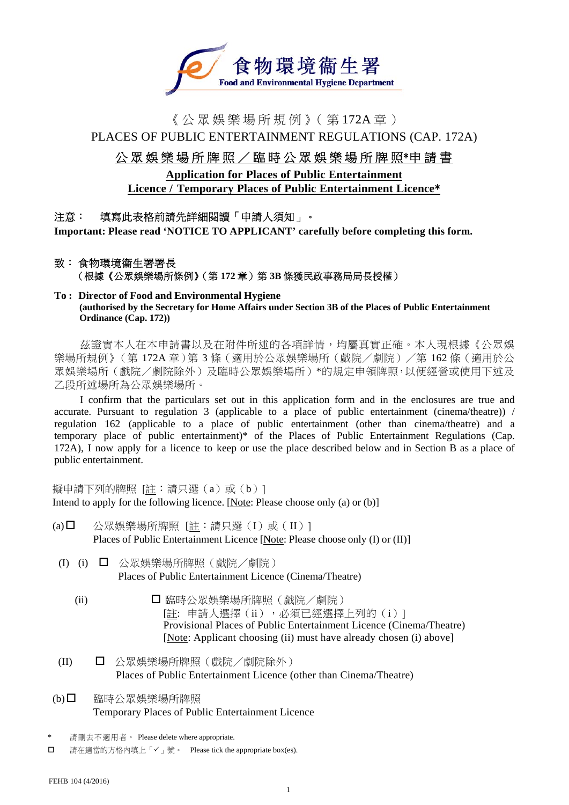

# 《 公 眾 娛 樂 場 所 規 例 》( 第 172A 章 ) PLACES OF PUBLIC ENTERTAINMENT REGULATIONS (CAP. 172A)

# 公 眾 娛 樂 場 所 牌 照 / 臨 時 公 眾 娛 樂 場 所 牌 照\*申 請 書

### **Application for Places of Public Entertainment Licence / Temporary Places of Public Entertainment Licence**\*

# 注意: 填寫此表格前請先詳細閱讀「申請人須知」。

**Important: Please read 'NOTICE TO APPLICANT' carefully before completing this form.**

# 致: 食物環境衞生署署長 (根據《公眾娛樂場所條例》(第172章)第 3B 條獲民政事務局局長授權)

**To : Director of Food and Environmental Hygiene (authorised by the Secretary for Home Affairs under Section 3B of the Places of Public Entertainment Ordinance (Cap. 172))**

茲證實本人在本申請書以及在附件所述的各項詳情,均屬真實正確。本人現根據《公眾娛 樂場所規例》(第 172A 章)第 3 條(適用於公眾娛樂場所(戲院/劇院)/第 162 條(適用於公 眾娛樂場所(戲院/劇院除外)及臨時公眾娛樂場所)\*的規定申領牌照,以便經營或使用下述及 乙段所述場所為公眾娛樂場所。

I confirm that the particulars set out in this application form and in the enclosures are true and accurate. Pursuant to regulation 3 (applicable to a place of public entertainment (cinema/theatre)) / regulation 162 (applicable to a place of public entertainment (other than cinema/theatre) and a temporary place of public entertainment)\* of the Places of Public Entertainment Regulations (Cap. 172A), I now apply for a licence to keep or use the place described below and in Section B as a place of public entertainment.

擬申請下列的牌照 [註:請只選(a)或(b)] Intend to apply for the following licence. [Note: Please choose only (a) or (b)]

- (a) □ 公眾娛樂場所牌照 [註:請只選(I)或(II)] Places of Public Entertainment Licence [Note: Please choose only (I) or (II)]
- (I) (i) 公眾娛樂場所牌照(戲院/劇院) Places of Public Entertainment Licence (Cinema/Theatre)
	- (ii) □ 臨時公眾娛樂場所牌照(戲院/劇院) [註: 申請人選擇(ii),必須已經選擇上列的(i)] Provisional Places of Public Entertainment Licence (Cinema/Theatre) [Note: Applicant choosing (ii) must have already chosen (i) above]
- (II) 公眾娛樂場所牌照(戲院/劇院除外) Places of Public Entertainment Licence (other than Cinema/Theatre)
- (b) 臨時公眾娛樂場所牌照 Temporary Places of Public Entertainment Licence

<sup>\*</sup> 請刪去不適用者。 Please delete where appropriate.

<sup>□</sup> 請在適當的方格內填上「√」號。 Please tick the appropriate box(es).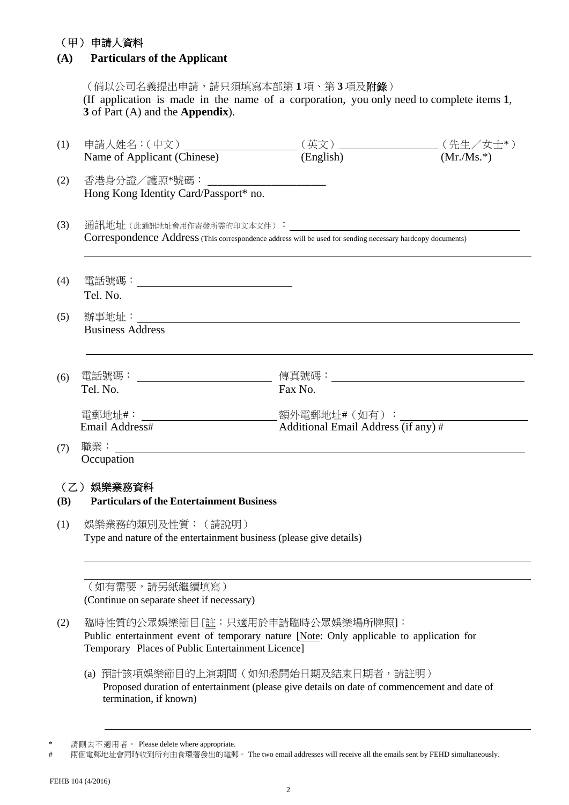# (甲) 申請人資料

# **(A) Particulars of the Applicant**

(倘以公司名義提出申請,請只須填寫本部第 **1** 項、第 **3** 項及附錄) (If application is made in the name of a corporation, you only need to complete items **1**, **3** of Part (A) and the **Appendix**).

| (1)        |                                                                                                            |                                     | (英文) _______________________(先生/女士*) |
|------------|------------------------------------------------------------------------------------------------------------|-------------------------------------|--------------------------------------|
|            | 申請人姓名:(中文)<br>Name of Applicant (Chinese)                                                                  | (English)                           | $(Mr/Ms.*)$                          |
| (2)        | 香港身分證/護照*號碼: _______                                                                                       |                                     |                                      |
|            | Hong Kong Identity Card/Passport* no.                                                                      |                                     |                                      |
|            |                                                                                                            |                                     |                                      |
| (3)        |                                                                                                            |                                     |                                      |
|            | Correspondence Address (This correspondence address will be used for sending necessary hardcopy documents) |                                     |                                      |
|            |                                                                                                            |                                     |                                      |
|            |                                                                                                            |                                     |                                      |
| (4)        | Tel. No.                                                                                                   |                                     |                                      |
|            |                                                                                                            |                                     |                                      |
| (5)        | <b>辦事地址: そうきょう しょうしょう おおし かいしょう</b> しょうかい                                                                  |                                     |                                      |
|            | <b>Business Address</b>                                                                                    |                                     |                                      |
|            |                                                                                                            |                                     |                                      |
|            |                                                                                                            |                                     |                                      |
| (6)        |                                                                                                            |                                     |                                      |
|            | Tel. No.                                                                                                   | Fax No.                             |                                      |
|            | 電郵地址#:                                                                                                     |                                     |                                      |
|            | Email Address#                                                                                             | Additional Email Address (if any) # |                                      |
| (7)        |                                                                                                            |                                     |                                      |
|            | Occupation                                                                                                 |                                     |                                      |
|            |                                                                                                            |                                     |                                      |
|            | (乙) 娛樂業務資料                                                                                                 |                                     |                                      |
| <b>(B)</b> | <b>Particulars of the Entertainment Business</b>                                                           |                                     |                                      |
| (1)        | 娛樂業務的類別及性質: (請說明)                                                                                          |                                     |                                      |
|            | Type and nature of the entertainment business (please give details)                                        |                                     |                                      |
|            |                                                                                                            |                                     |                                      |

(如有需要,請另紙繼續填寫)

(Continue on separate sheet if necessary)

(2) 臨時性質的公眾娛樂節目 [註:只適用於申請臨時公眾娛樂場所牌照]: Public entertainment event of temporary nature [Note: Only applicable to application for

Temporary Places of Public Entertainment Licence]

(a) 預計該項娛樂節目的上演期間(如知悉開始日期及結束日期者,請註明) Proposed duration of entertainment (please give details on date of commencement and date of termination, if known)

請刪去不適用者。 Please delete where appropriate.

<sup>#</sup> 兩個電郵地址會同時收到所有由食環署發出的電郵。 The two email addresses will receive all the emails sent by FEHD simultaneously.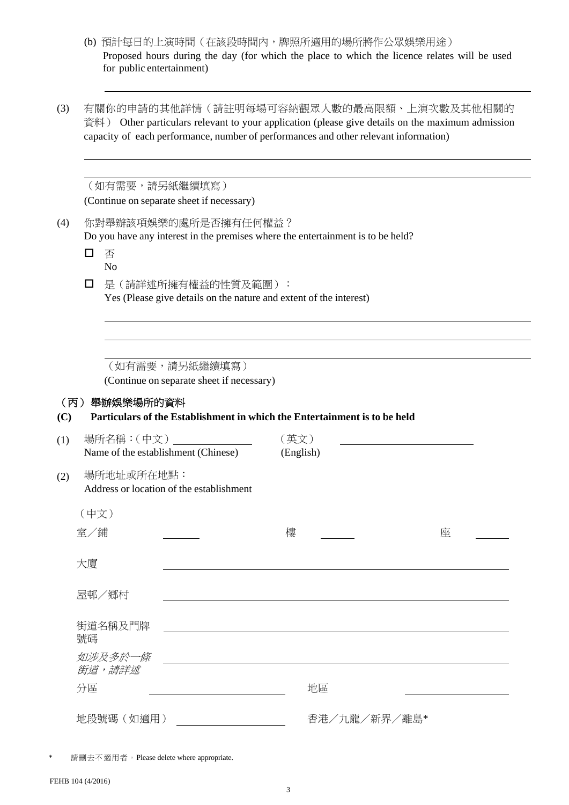- (b) 預計每日的上演時間(在該段時間內,牌照所適用的場所將作公眾娛樂用途) Proposed hours during the day (for which the place to which the licence relates will be used for public entertainment)
- (3) 有關你的申請的其他詳情(請註明每場可容納觀眾人數的最高限額、上演次數及其他相關的 資料) Other particulars relevant to your application (please give details on the maximum admission capacity of each performance, number of performances and other relevant information)

|     |      | (如有需要,請另紙繼續填寫)                                                                                          | (Continue on separate sheet if necessary)                                                 |           |              |   |  |  |  |  |
|-----|------|---------------------------------------------------------------------------------------------------------|-------------------------------------------------------------------------------------------|-----------|--------------|---|--|--|--|--|
| (4) |      | 你對舉辦該項娛樂的處所是否擁有任何權益?<br>Do you have any interest in the premises where the entertainment is to be held? |                                                                                           |           |              |   |  |  |  |  |
|     | П    | 否                                                                                                       |                                                                                           |           |              |   |  |  |  |  |
|     |      | N <sub>o</sub>                                                                                          |                                                                                           |           |              |   |  |  |  |  |
|     | □    |                                                                                                         | 是 (請詳述所擁有權益的性質及範圍):<br>Yes (Please give details on the nature and extent of the interest) |           |              |   |  |  |  |  |
|     |      |                                                                                                         | (如有需要,請另紙繼續填寫)<br>(Continue on separate sheet if necessary)                               |           |              |   |  |  |  |  |
|     |      | (丙)舉辦娛樂場所的資料                                                                                            |                                                                                           |           |              |   |  |  |  |  |
| (C) |      |                                                                                                         | Particulars of the Establishment in which the Entertainment is to be held                 |           |              |   |  |  |  |  |
| (1) |      | 場所名稱:(中文)                                                                                               |                                                                                           | (英文)      |              |   |  |  |  |  |
|     |      |                                                                                                         | Name of the establishment (Chinese)                                                       | (English) |              |   |  |  |  |  |
| (2) |      | 場所地址或所在地點:                                                                                              | Address or location of the establishment                                                  |           |              |   |  |  |  |  |
|     | (中文) |                                                                                                         |                                                                                           |           |              |   |  |  |  |  |
|     | 室/鋪  |                                                                                                         |                                                                                           | 樓         |              | 座 |  |  |  |  |
|     | 大廈   |                                                                                                         |                                                                                           |           |              |   |  |  |  |  |
|     |      | 屋邨/郷村                                                                                                   |                                                                                           |           |              |   |  |  |  |  |
|     | 號碼   | 街道名稱及門牌                                                                                                 |                                                                                           |           |              |   |  |  |  |  |
|     |      | 如涉及多於一條<br>街道,請詳述                                                                                       |                                                                                           |           |              |   |  |  |  |  |
|     | 分區   |                                                                                                         |                                                                                           | 地區        |              |   |  |  |  |  |
|     |      | 地段號碼 (如適用)                                                                                              | <u>and the state of the state of the state</u>                                            |           | 香港/九龍/新界/離島* |   |  |  |  |  |

\* 請刪去不適用者。Please delete where appropriate.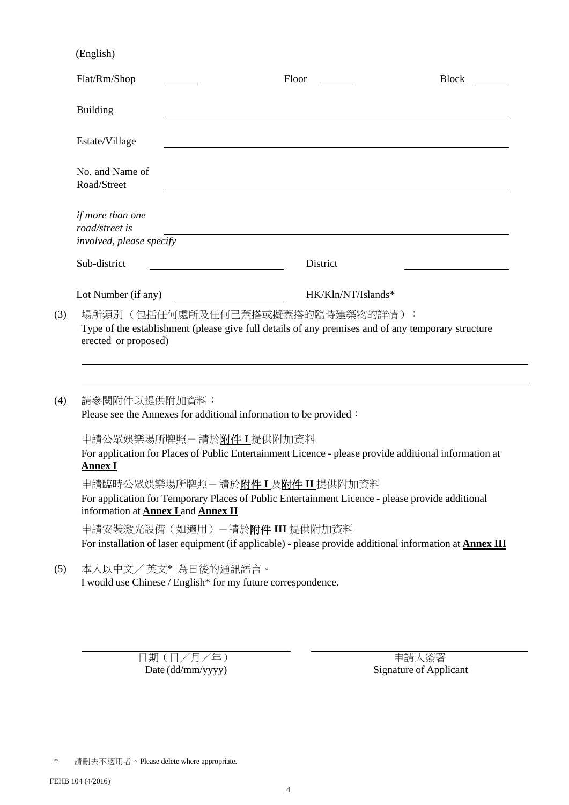| (English) |  |
|-----------|--|
|-----------|--|

| <b>Building</b>                                                   |                                                                                                                 |  |
|-------------------------------------------------------------------|-----------------------------------------------------------------------------------------------------------------|--|
| Estate/Village                                                    |                                                                                                                 |  |
| No. and Name of<br>Road/Street                                    | <u> 1980 - Johann Barbara, martxa alemaniar argametra (h. 1980).</u>                                            |  |
| if more than one<br>road/street is<br>involved, please specify    | <u> 1980 - Johann Barn, fransk politik (f. 1980)</u>                                                            |  |
| Sub-district                                                      | District                                                                                                        |  |
| Lot Number (if any)                                               | HK/Kln/NT/Islands*                                                                                              |  |
|                                                                   |                                                                                                                 |  |
|                                                                   |                                                                                                                 |  |
|                                                                   | 場所類別(包括任何處所及任何已蓋搭或擬蓋搭的臨時建築物的詳情):                                                                                |  |
|                                                                   | Type of the establishment (please give full details of any premises and of any temporary structure              |  |
| erected or proposed)                                              |                                                                                                                 |  |
|                                                                   |                                                                                                                 |  |
|                                                                   |                                                                                                                 |  |
|                                                                   |                                                                                                                 |  |
| 請參閱附件以提供附加資料:                                                     |                                                                                                                 |  |
| Please see the Annexes for additional information to be provided: |                                                                                                                 |  |
|                                                                   |                                                                                                                 |  |
| 申請公眾娛樂場所牌照−請於 <u>附件Ⅰ</u> 提供附加資料                                   |                                                                                                                 |  |
| <b>Annex I</b>                                                    | For application for Places of Public Entertainment Licence - please provide additional information at           |  |
|                                                                   |                                                                                                                 |  |
|                                                                   | 申請臨時公眾娛樂場所牌照-請於 <b>附件 I</b> 及 <b>附件 II</b> 提供附加資料                                                               |  |
| information at <b>Annex I</b> and <b>Annex II</b>                 | For application for Temporary Places of Public Entertainment Licence - please provide additional                |  |
| 申請安裝激光設備(如適用)-請於附件 III 提供附加資料                                     |                                                                                                                 |  |
|                                                                   | For installation of laser equipment (if applicable) - please provide additional information at <b>Annex III</b> |  |
| 本人以中文/英文* 為日後的通訊語言。                                               |                                                                                                                 |  |
| I would use Chinese / English* for my future correspondence.      |                                                                                                                 |  |

日期(日/月/年)<br>Date (dd/mm/yyyy)

中請人簽署<br>Signature of Applicant

\* 請刪去不適用者。Please delete where appropriate.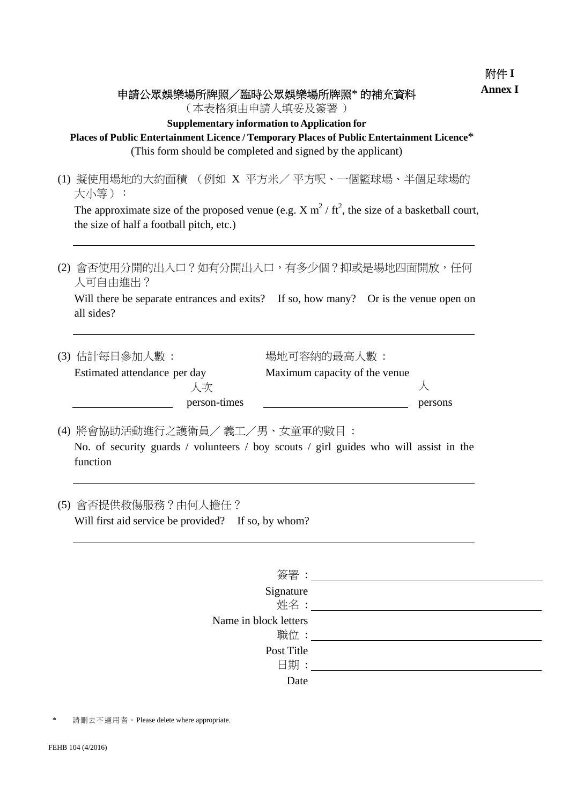# 申請公眾娛樂場所牌照/臨時公眾娛樂場所牌照\* 的補充資料

(本表格須由申請人填妥及簽署 )

#### **Supplementary information to Application for**

**Places of Public Entertainment Licence / Temporary Places of Public Entertainment Licence**\* (This form should be completed and signed by the applicant)

(1) 擬使用場地的大約面積 (例如 X 平方米/ 平方呎、一個籃球場、半個足球場的 大小等):

| The approximate size of the proposed venue (e.g. $X \text{ m}^2 / ft^2$ , the size of a basketball court, |  |  |  |
|-----------------------------------------------------------------------------------------------------------|--|--|--|
| the size of half a football pitch, etc.)                                                                  |  |  |  |

(2) 會否使用分開的出入口?如有分開出入口,有多少個?抑或是場地四面開放,任何 人可自由進出?

| Will there be separate entrances and exits? If so, how many? Or is the venue open on |  |
|--------------------------------------------------------------------------------------|--|
| all sides?                                                                           |  |

| (3) 估計每日參加人數 :               | 場地可容納的最高人數:                   |         |
|------------------------------|-------------------------------|---------|
| Estimated attendance per day | Maximum capacity of the venue |         |
| 大次                           |                               |         |
| person-times                 |                               | persons |

(4) 將會協助活動進行之護衛員/ 義工/男、女童軍的數目 :

No. of security guards / volunteers / boy scouts / girl guides who will assist in the function

(5) 會否提供救傷服務?由何人擔任? Will first aid service be provided? If so, by whom?

| 簽署:                           |  |
|-------------------------------|--|
| Signature<br># $\#$ $\cong$ : |  |
| Name in block letters         |  |
| 職位:<br>Post Title             |  |
| 日期:                           |  |
| Date                          |  |

請刪去不適用者。Please delete where appropriate.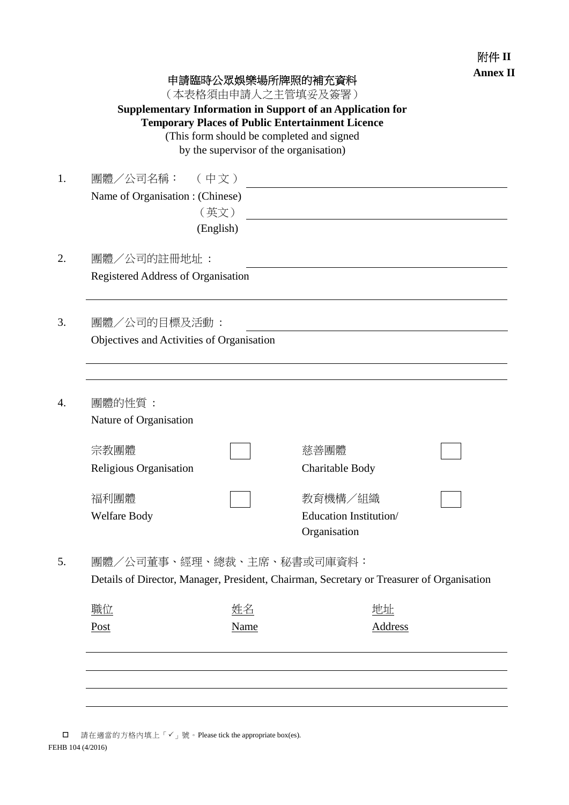# 申請臨時公眾娛樂場所牌照的補充資料

(本表格須由申請人之主管填妥及簽署)

**Supplementary Information in Support of an Application for Temporary Places of Public Entertainment Licence** (This form should be completed and signed

by the supervisor of the organisation)

| 1. | 團體/公司名稱: (中文)<br>Name of Organisation : (Chinese) | (英文)<br>(English) |                                                                                           |  |
|----|---------------------------------------------------|-------------------|-------------------------------------------------------------------------------------------|--|
| 2. | 團體/公司的註冊地址:                                       |                   |                                                                                           |  |
|    | <b>Registered Address of Organisation</b>         |                   |                                                                                           |  |
| 3. | 團體/公司的目標及活動:                                      |                   |                                                                                           |  |
|    | Objectives and Activities of Organisation         |                   |                                                                                           |  |
|    |                                                   |                   |                                                                                           |  |
| 4. | 團體的性質:                                            |                   |                                                                                           |  |
|    | Nature of Organisation                            |                   |                                                                                           |  |
|    | 宗教團體                                              |                   | 慈善團體                                                                                      |  |
|    | Religious Organisation                            |                   | Charitable Body                                                                           |  |
|    | 福利團體                                              |                   | 教育機構/組織                                                                                   |  |
|    | <b>Welfare Body</b>                               |                   | Education Institution/<br>Organisation                                                    |  |
| 5. | 團體/公司董事、經理、總裁、主席、秘書或司庫資料:                         |                   | Details of Director, Manager, President, Chairman, Secretary or Treasurer of Organisation |  |
|    | 職位                                                | 姓名                | 地址                                                                                        |  |
|    | Post                                              | Name              | Address                                                                                   |  |
|    |                                                   |                   |                                                                                           |  |
|    |                                                   |                   |                                                                                           |  |
|    |                                                   |                   |                                                                                           |  |

FEHB 104 (4/2016) □ 請在適當的方格內填上「√」號。Please tick the appropriate box(es).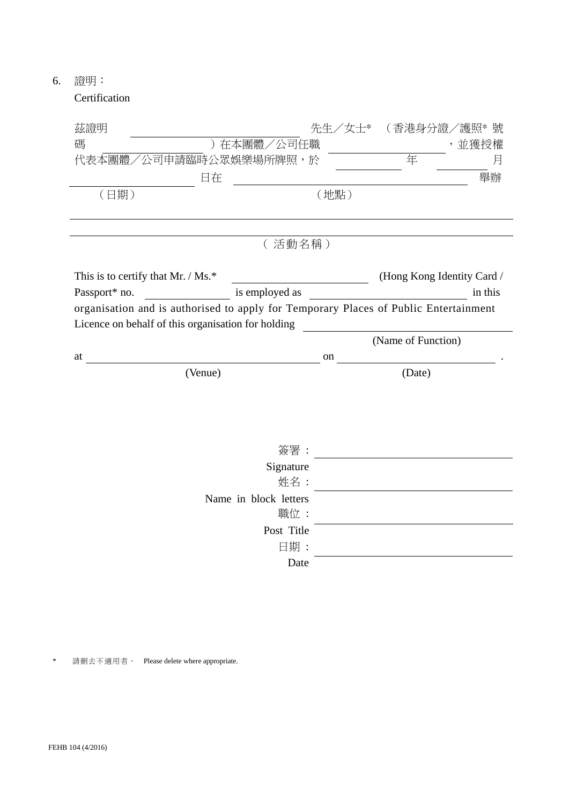6. 證明:

Certification

| 茲證明                                                                                  |                                                                                                                      |                                                     |                    | 先生/女士* (香港身分證/護照* 號        |
|--------------------------------------------------------------------------------------|----------------------------------------------------------------------------------------------------------------------|-----------------------------------------------------|--------------------|----------------------------|
| 碼                                                                                    | ) 在本團體/公司任職                                                                                                          |                                                     |                    | ,並獲授權                      |
| 代表本團體/公司申請臨時公眾娛樂場所牌照,於                                                               |                                                                                                                      |                                                     | 年                  | 月                          |
| 日在                                                                                   |                                                                                                                      | <u> 1980 - Andrea Station Barbara, amerikan per</u> |                    | 舉辦                         |
| (日期)                                                                                 |                                                                                                                      | (地點)                                                |                    |                            |
|                                                                                      |                                                                                                                      |                                                     |                    |                            |
|                                                                                      | ( 活動名稱)                                                                                                              |                                                     |                    |                            |
| This is to certify that Mr. / Ms.*                                                   | <u> 1980 - Andrea Station Barbara, politik eta provincia eta provincia eta provincia eta provincia eta provincia</u> |                                                     |                    | (Hong Kong Identity Card / |
| Passport* no.                                                                        | is employed as                                                                                                       |                                                     |                    | in this                    |
| organisation and is authorised to apply for Temporary Places of Public Entertainment |                                                                                                                      |                                                     |                    |                            |
| Licence on behalf of this organisation for holding                                   |                                                                                                                      |                                                     |                    |                            |
|                                                                                      |                                                                                                                      |                                                     | (Name of Function) |                            |
| at                                                                                   |                                                                                                                      | on                                                  |                    |                            |
| (Venue)                                                                              |                                                                                                                      |                                                     | (Date)             |                            |
|                                                                                      |                                                                                                                      |                                                     |                    |                            |
|                                                                                      |                                                                                                                      |                                                     |                    |                            |
|                                                                                      |                                                                                                                      |                                                     |                    |                            |
|                                                                                      | 簽署:                                                                                                                  |                                                     |                    |                            |
|                                                                                      | Signature                                                                                                            |                                                     |                    |                            |
|                                                                                      | 姓名:                                                                                                                  |                                                     |                    |                            |
|                                                                                      | Name in block letters                                                                                                |                                                     |                    |                            |
|                                                                                      | 職位:                                                                                                                  |                                                     |                    |                            |
|                                                                                      | Post Title                                                                                                           |                                                     |                    |                            |
|                                                                                      | 日期:                                                                                                                  |                                                     |                    |                            |
|                                                                                      | Date                                                                                                                 |                                                     |                    |                            |
|                                                                                      |                                                                                                                      |                                                     |                    |                            |

\* 請刪去不適用者。 Please delete where appropriate.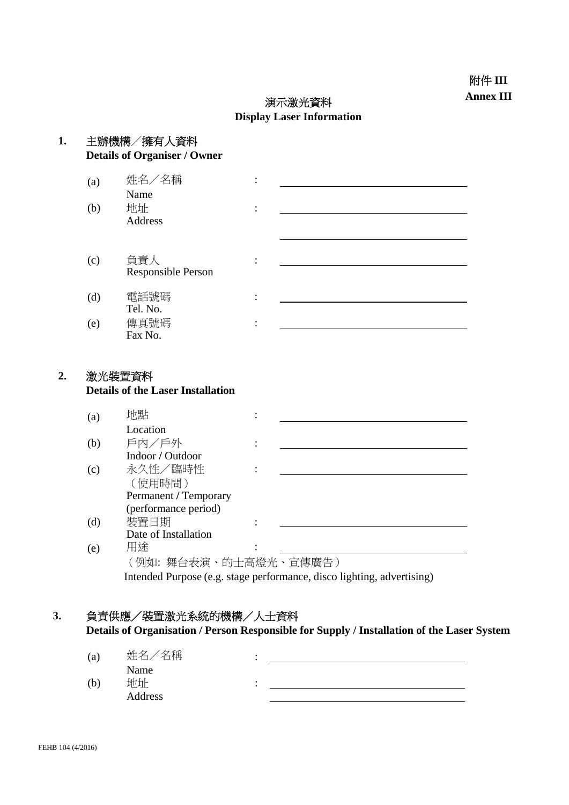# 演示激光資料 **Display Laser Information**

# **1.** 主辦機構/擁有人資料 **Details of Organiser / Owner** (a)  $\text{ \quad \ }$  姓名/名稱  $\text{ }$  : Name (b) 地址 : Address (c) 負責人 : Responsible Person (d) 電話號碼 : Tel. No. (e) 傳真號碼 : Fax No. **2.** 激光裝置資料 **Details of the Laser Installation**  $(a)$  地點  $\qquad \qquad$  : Location (b) 戶內/戶外 : <u> 1980 - Johann Barn, mars ann an t-Amhain Aonaich an t-Aonaich an t-Aonaich ann an t-Aonaich ann an t-Aonaich</u> Indoor **/** Outdoor 永久性/臨時性 : (c) (使用時間) Permanent **/** Temporary (performance period) (d) 裝置日期 : Date of Installation

(e) 用途 : (例如: 舞台表演、的士高燈光、宣傳廣告) Intended Purpose (e.g. stage performance, disco lighting, advertising)

# **3.** 負責供應/裝置激光系統的機構/人士資料 **Details of Organisation / Person Responsible for Supply / Installation of the Laser System**

| (a) | ′名稱<br>姓名, | $\bullet$ |  |
|-----|------------|-----------|--|
|     | Name       |           |  |
| (b) | 地址         | $\bullet$ |  |
|     | Address    |           |  |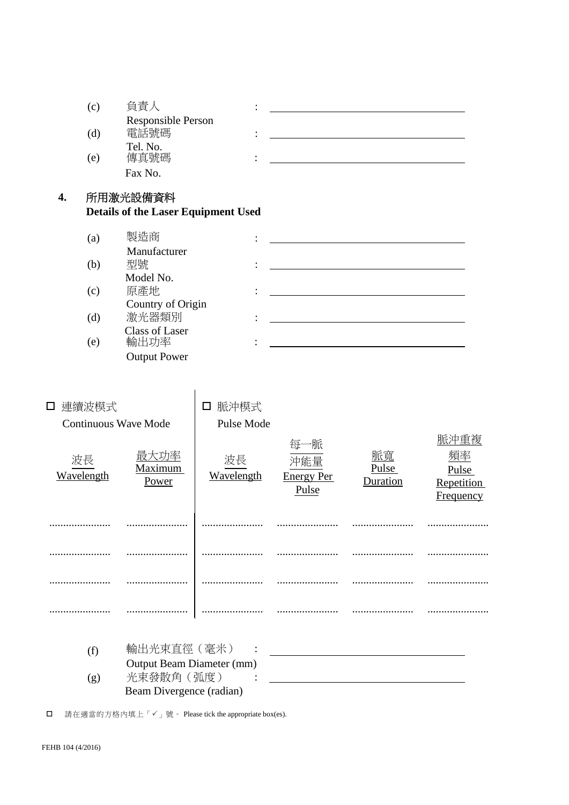| (c)             | 負責人                                        |                |                   |          |            |
|-----------------|--------------------------------------------|----------------|-------------------|----------|------------|
|                 | Responsible Person                         |                |                   |          |            |
| (d)             | 電話號碼                                       |                |                   |          |            |
| (e)             | Tel. No.<br>傳真號碼                           |                |                   |          |            |
|                 | Fax No.                                    |                |                   |          |            |
|                 |                                            |                |                   |          |            |
| 4.              | 所用激光設備資料                                   |                |                   |          |            |
|                 | <b>Details of the Laser Equipment Used</b> |                |                   |          |            |
|                 |                                            |                |                   |          |            |
| (a)             | 製造商                                        |                |                   |          |            |
|                 | Manufacturer                               |                |                   |          |            |
| (b)             | 型號                                         |                |                   |          |            |
|                 | Model No.                                  |                |                   |          |            |
| (c)             | 原產地                                        |                |                   |          |            |
| (d)             | Country of Origin<br>激光器類別                 |                |                   |          |            |
|                 | <b>Class of Laser</b>                      |                |                   |          |            |
| (e)             | 輸出功率                                       |                |                   |          |            |
|                 | <b>Output Power</b>                        |                |                   |          |            |
|                 |                                            |                |                   |          |            |
|                 |                                            |                |                   |          |            |
|                 |                                            |                |                   |          |            |
| 連續波模式<br>$\Box$ |                                            | 脈沖模式<br>$\Box$ |                   |          |            |
|                 | <b>Continuous Wave Mode</b>                | Pulse Mode     |                   |          |            |
|                 |                                            |                | 每一脈               |          | 脈沖重複       |
| 波長              | 大功率                                        | 波長             | 沖能量               | 脈寬       | 頻率         |
| Wavelength      | Maximum                                    | Wavelength     |                   | Pulse    | Pulse      |
|                 | Power                                      |                | <b>Energy Per</b> | Duration | Repetition |
|                 |                                            |                | Pulse             |          | Frequency  |
|                 |                                            |                |                   |          |            |
| .               | .                                          |                | .                 |          |            |
|                 |                                            |                |                   |          |            |
|                 |                                            |                |                   |          |            |
|                 |                                            |                |                   |          |            |
|                 |                                            |                |                   |          |            |
|                 |                                            |                |                   |          |            |
| .               |                                            |                |                   |          |            |
|                 |                                            |                |                   |          |            |
|                 |                                            |                |                   |          |            |
| (f)             | 輸出光束直徑(毫米)                                 |                |                   |          |            |
|                 | <b>Output Beam Diameter (mm)</b>           |                |                   |          |            |
| (g)             | 光束發散角 (弧度)                                 |                |                   |          |            |
|                 | Beam Divergence (radian)                   |                |                   |          |            |

 $\hfill\Box$  請在適當的方格內填上「 $\checkmark$ 」號。 Please tick the appropriate box(es).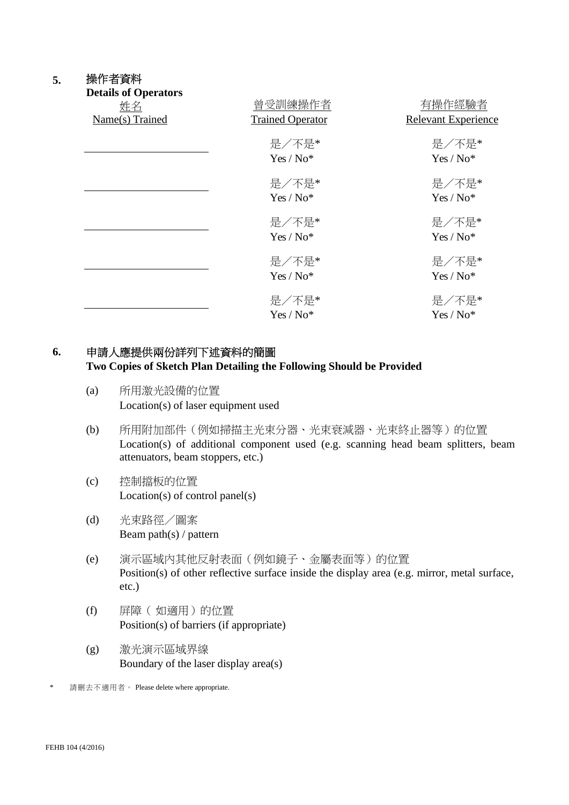| 5. | 操作者資料                                                |                                    |                               |  |
|----|------------------------------------------------------|------------------------------------|-------------------------------|--|
|    | <b>Details of Operators</b><br>姓名<br>Name(s) Trained | 曾受訓練操作者<br><b>Trained Operator</b> | 有操作經驗者<br>Relevant Experience |  |
|    |                                                      | 是/不是*<br>$Yes / No*$               | 是/不是*<br>$Yes / No*$          |  |
|    |                                                      | 是/不是*<br>$Yes / No*$               | 是/不是*<br>$Yes / No*$          |  |
|    |                                                      | 是/不是*<br>$Yes / No*$               | 是/不是*<br>$Yes / No*$          |  |
|    |                                                      | 是/不是*<br>$Yes / No*$               | 是/不是*<br>$Yes / No*$          |  |
|    |                                                      | 是/不是*<br>$Yes / No*$               | 是/不是*<br>$Yes / No*$          |  |

# **6.** 申請人應提供兩份詳列下述資料的簡圖

**Two Copies of Sketch Plan Detailing the Following Should be Provided**

- (a) 所用激光設備的位置 Location(s) of laser equipment used
- (b) 所用附加部件(例如掃描主光束分器、光束衰減器、光束終止器等)的位置 Location(s) of additional component used (e.g. scanning head beam splitters, beam attenuators, beam stoppers, etc.)
- (c) 控制擋板的位置 Location(s) of control panel(s)
- (d) 光束路徑/圖案 Beam path(s) / pattern
- (e) 演示區域內其他反射表面(例如鏡子、金屬表面等)的位置 Position(s) of other reflective surface inside the display area (e.g. mirror, metal surface, etc.)
- (f) 屏障( 如適用)的位置 Position(s) of barriers (if appropriate)
- (g) 激光演示區域界線 Boundary of the laser display area(s)

請刪去不適用者。 Please delete where appropriate.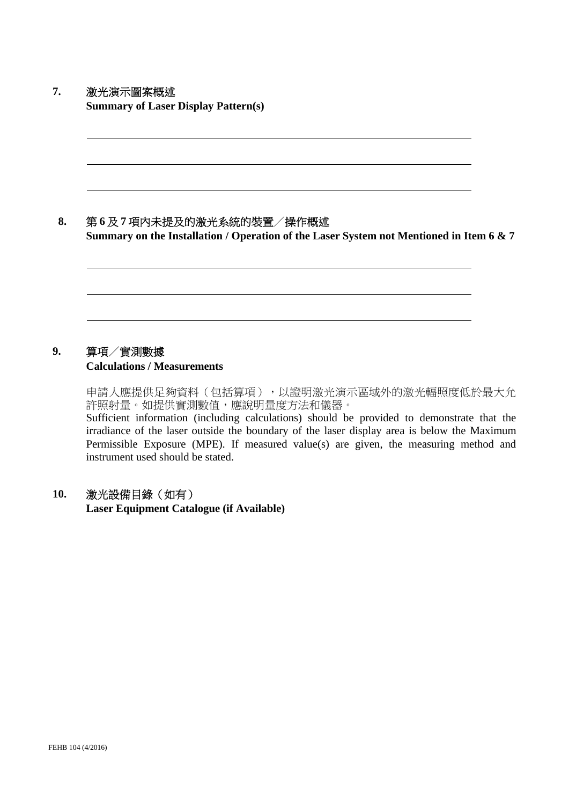# **7.** 激光演示圖案概述 **Summary of Laser Display Pattern(s)**

# **8.** 第 **6** 及 **7** 項內未提及的激光系統的裝置/操作概述 **Summary on the Installation / Operation of the Laser System not Mentioned in Item 6 & 7**

# **9.** 算項/實測數據 **Calculations / Measurements**

申請人應提供足夠資料(包括算項),以證明激光演示區域外的激光輻照度低於最大允 許照射量。如提供實測數值,應說明量度方法和儀器。 Sufficient information (including calculations) should be provided to demonstrate that the irradiance of the laser outside the boundary of the laser display area is below the Maximum Permissible Exposure (MPE). If measured value(s) are given, the measuring method and instrument used should be stated.

# **10.** 激光設備目錄(如有)

**Laser Equipment Catalogue (if Available)**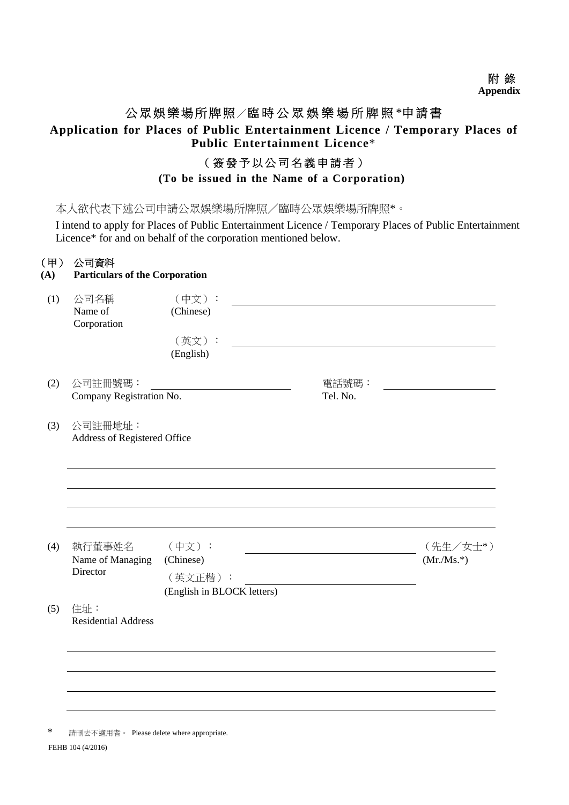### 附 錄 **Appendix**

# 公眾娛樂場所牌照/臨時公眾娛樂場所牌照\*申請書 **Application for Places of Public Entertainment Licence / Temporary Places of Public Entertainment Licence**\*

# ( 簽 發 予 以 公 司 名 義 申 請 者 )

### **(To be issued in the Name of a Corporation)**

本人欲代表下述公司申請公眾娛樂場所牌照/臨時公眾娛樂場所牌照\*。

I intend to apply for Places of Public Entertainment Licence / Temporary Places of Public Entertainment Licence\* for and on behalf of the corporation mentioned below.

### (甲) 公司資料

## **(A) Particulars of the Corporation**

| (1) | 公司名稱<br>Name of<br>Corporation          | (中文):<br>(Chinese)                                 |                   |             |
|-----|-----------------------------------------|----------------------------------------------------|-------------------|-------------|
|     |                                         | (英文):<br>(English)                                 |                   |             |
| (2) | 公司註冊號碼:<br>Company Registration No.     |                                                    | 電話號碼:<br>Tel. No. |             |
| (3) | 公司註冊地址:<br>Address of Registered Office |                                                    |                   |             |
|     |                                         |                                                    |                   |             |
| (4) | 執行董事姓名                                  | (中文):                                              |                   | (先生/女士*)    |
|     | Name of Managing<br>Director            | (Chinese)<br>(英文正楷):<br>(English in BLOCK letters) |                   | $(Mr/Ms.*)$ |
| (5) | 住址:<br><b>Residential Address</b>       |                                                    |                   |             |
|     |                                         |                                                    |                   |             |
|     |                                         |                                                    |                   |             |

\* 請刪去不適用者。 Please delete where appropriate.

FEHB 104 (4/2016)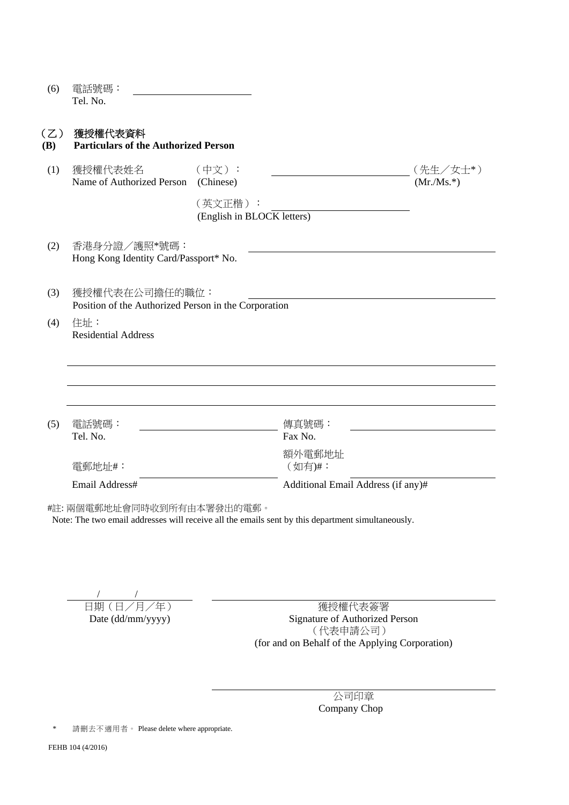| (6) | 電話號碼:    |  |
|-----|----------|--|
|     | Tel. No. |  |

# (乙) 獲授權代表資料

| (B) | <b>Particulars of the Authorized Person</b>                            |                                       |                                    |
|-----|------------------------------------------------------------------------|---------------------------------------|------------------------------------|
| (1) | 獲授權代表姓名<br>Name of Authorized Person                                   | (中文):<br>(Chinese)                    | (先生/女士*)<br>$(Mr/Ms.*)$            |
|     |                                                                        | (英文正楷):<br>(English in BLOCK letters) |                                    |
| (2) | 香港身分證/護照*號碼:<br>Hong Kong Identity Card/Passport* No.                  |                                       |                                    |
| (3) | 獲授權代表在公司擔任的職位:<br>Position of the Authorized Person in the Corporation |                                       |                                    |
| (4) | 住址:<br><b>Residential Address</b>                                      |                                       |                                    |
|     |                                                                        |                                       |                                    |
| (5) | 電話號碼:<br>Tel. No.                                                      | 傳真號碼:<br>Fax No.                      |                                    |
|     | 電郵地址#:                                                                 | 額外電郵地址<br>(如有)#:                      |                                    |
|     | Email Address#                                                         |                                       | Additional Email Address (if any)# |

#註: 兩個電郵地址會同時收到所有由本署發出的電郵。

Note: The two email addresses will receive all the emails sent by this department simultaneously.

|                   | 日期 (日/月/年) |
|-------------------|------------|
| Date (dd/mm/yyyy) |            |

日期(日/月/年) 獲授權代表簽署 Vyyyy) Signature of Authorized Person (代表申請公司) (for and on Behalf of the Applying Corporation)

> 公司印章 Company Chop

\* 請刪去不適用者。 Please delete where appropriate.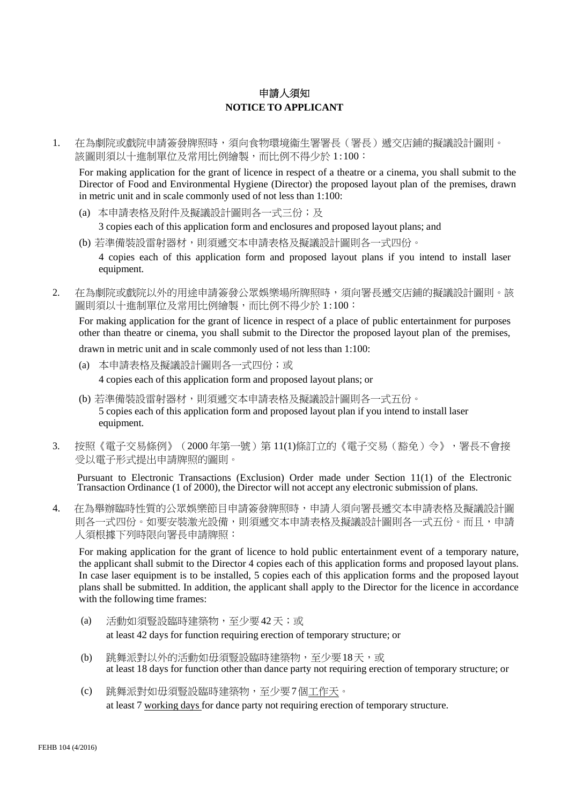# 申請人須知 **NOTICE TO APPLICANT**

1. 在為劇院或戲院申請簽發牌照時,須向食物環境衞生署署長(署長)遞交店鋪的擬議設計圖則。 該圖則須以十進制單位及常用比例繪製,而比例不得少於 1 : 100:

For making application for the grant of licence in respect of a theatre or a cinema, you shall submit to the Director of Food and Environmental Hygiene (Director) the proposed layout plan of the premises, drawn in metric unit and in scale commonly used of not less than 1:100:

- (a) 本申請表格及附件及擬議設計圖則各一式三份;及 3 copies each of this application form and enclosures and proposed layout plans; and
- (b) 若準備裝設雷射器材,則須遞交本申請表格及擬議設計圖則各一式四份。 4 copies each of this application form and proposed layout plans if you intend to install laser equipment.
- 2. 在為劇院或戲院以外的用途申請簽發公眾娛樂場所牌照時,須向署長遞交店鋪的擬議設計圖則。該 圖則須以十進制單位及常用比例繪製,而比例不得少於 1 : 100:

For making application for the grant of licence in respect of a place of public entertainment for purposes other than theatre or cinema, you shall submit to the Director the proposed layout plan of the premises,

drawn in metric unit and in scale commonly used of not less than 1:100:

- (a) 本申請表格及擬議設計圖則各一式四份;或 4 copies each of this application form and proposed layout plans; or
- (b) 若準備裝設雷射器材,則須遞交本申請表格及擬議設計圖則各一式五份。 5 copies each of this application form and proposed layout plan if you intend to install laser equipment.
- 3. 按照《電子交易條例》(2000 年第一號)第 11(1)條訂立的《電子交易(豁免)令》,署長不會接 受以電子形式提出申請牌照的圖則。

Pursuant to Electronic Transactions (Exclusion) Order made under Section 11(1) of the Electronic Transaction Ordinance (1 of 2000), the Director will not accept any electronic submission of plans.

4. 在為舉辦臨時性質的公眾娛樂節目申請簽發牌照時,申請人須向署長遞交本申請表格及擬議設計圖 則各一式四份。如要安裝激光設備,則須遞交本申請表格及擬議設計圖則各一式五份。而且,申請 人須根據下列時限向署長申請牌照:

For making application for the grant of licence to hold public entertainment event of a temporary nature, the applicant shall submit to the Director 4 copies each of this application forms and proposed layout plans. In case laser equipment is to be installed, 5 copies each of this application forms and the proposed layout plans shall be submitted. In addition, the applicant shall apply to the Director for the licence in accordance with the following time frames:

- (a) 活動如須豎設臨時建築物,至少要 42 天;或 at least 42 days for function requiring erection of temporary structure; or
- at least 18 days for function other than dance party not requiring erection of temporary structure; or (b) 跳舞派對以外的活動如毌須豎設臨時建築物,至少要18天,或
- (c) 跳舞派對如毋須豎設臨時建築物,至少要 7 個工作天。 at least 7 working days for dance party not requiring erection of temporary structure.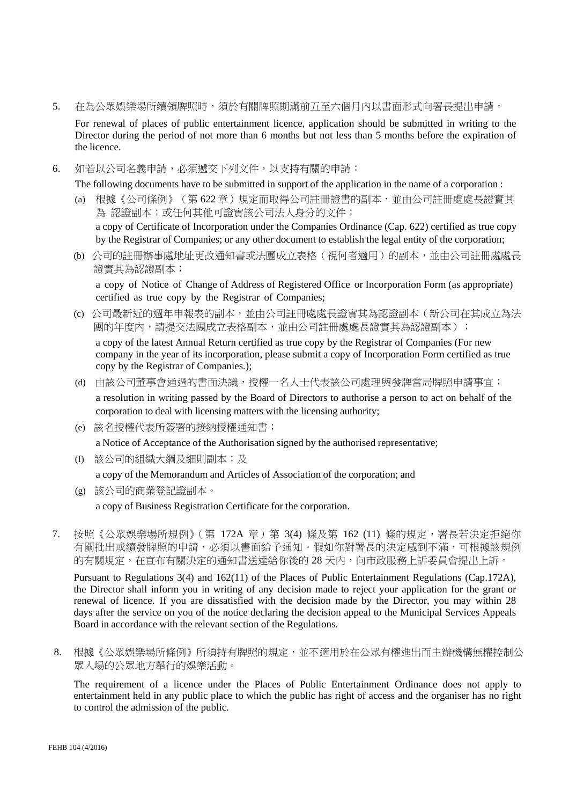5. 在為公眾娛樂場所續領牌照時,須於有關牌照期滿前五至六個月內以書面形式向署長提出申請。

For renewal of places of public entertainment licence, application should be submitted in writing to the Director during the period of not more than 6 months but not less than 5 months before the expiration of the licence.

6. 如若以公司名義申請,必須遞交下列文件,以支持有關的申請:

The following documents have to be submitted in support of the application in the name of a corporation :

- (a) 根據《公司條例》(第 622 章)規定而取得公司註冊證書的副本,並由公司註冊處處長證實其 為 認證副本;或任何其他可證實該公司法人身分的文件; a copy of Certificate of Incorporation under the Companies Ordinance (Cap. 622) certified as true copy by the Registrar of Companies; or any other document to establish the legal entity of the corporation;
- (b) 公司的註冊辦事處地址更改通知書或法團成立表格(視何者適用)的副本,並由公司註冊處處長 證實其為認證副本;

a copy of Notice of Change of Address of Registered Office or Incorporation Form (as appropriate) certified as true copy by the Registrar of Companies;

(c) 公司最新近的週年申報表的副本,並由公司註冊處處長證實其為認證副本(新公司在其成立為法 團的年度內,請提交法團成立表格副本,並由公司註冊處處長證實其為認證副本);

a copy of the latest Annual Return certified as true copy by the Registrar of Companies (For new company in the year of its incorporation, please submit a copy of Incorporation Form certified as true copy by the Registrar of Companies.);

- (d) 由該公司董事會通過的書面決議,授權一名人士代表該公司處理與發牌當局牌照申請事宜; a resolution in writing passed by the Board of Directors to authorise a person to act on behalf of the corporation to deal with licensing matters with the licensing authority;
- (e) 該名授權代表所簽署的接納授權通知書; a Notice of Acceptance of the Authorisation signed by the authorised representative;
- (f) 該公司的組織大綱及細則副本;及 a copy of the Memorandum and Articles of Association of the corporation; and
- (g) 該公司的商業登記證副本。 a copy of Business Registration Certificate for the corporation.
- 7. 按照《公眾娛樂場所規例》(第 172A 章) 第 3(4) 條及第 162 (11) 條的規定,署長若決定拒絕你 有關批出或續發牌照的申請,必須以書面給予通知。假如你對署長的決定感到不滿,可根據該規例 的有關規定,在宣布有關決定的通知書送達給你後的 28 天内,向市政服務上訴委員會提出上訴。

Pursuant to Regulations 3(4) and 162(11) of the Places of Public Entertainment Regulations (Cap.172A), the Director shall inform you in writing of any decision made to reject your application for the grant or renewal of licence. If you are dissatisfied with the decision made by the Director, you may within 28 days after the service on you of the notice declaring the decision appeal to the Municipal Services Appeals Board in accordance with the relevant section of the Regulations.

8. 根據《公眾娛樂場所條例》所須持有牌照的規定,並不適用於在公眾有權進出而主辦機構無權控制公 眾入場的公眾地方舉行的娛樂活動。

The requirement of a licence under the Places of Public Entertainment Ordinance does not apply to entertainment held in any public place to which the public has right of access and the organiser has no right to control the admission of the public.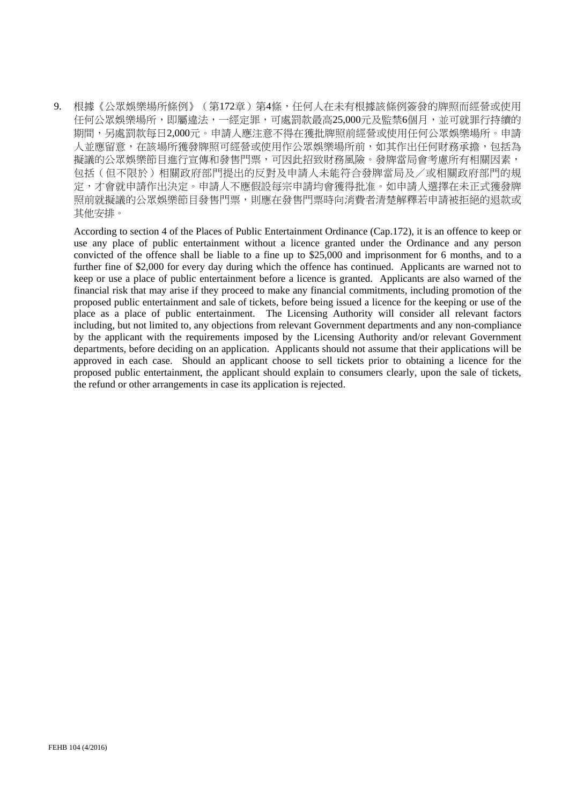9. 根據《公眾娛樂場所條例》(第172章)第4條,任何人在未有根據該條例簽發的牌照而經營或使用 任何公眾娛樂場所,即屬違法,一經定罪,可處罰款最高25,000元及監禁6個月,並可就罪行持續的 期間,另處罰款每日2,000元。申請人應注意不得在獲批牌照前經營或使用任何公眾娛樂場所。申請 人並應留意,在該場所獲發牌照可經營或使用作公眾娛樂場所前,如其作出任何財務承擔,包括為 擬議的公眾娛樂節目進行宣傳和發售門票,可因此招致財務風險。發牌當局會考慮所有相關因素, 包括(但不限於)相關政府部門提出的反對及申請人未能符合發牌當局及/或相關政府部門的規 定,才會就申請作出決定。申請人不應假設每宗申請均會獲得批准。如申請人選擇在未正式獲發牌 照前就擬議的公眾娛樂節目發售門票,則應在發售門票時向消費者清楚解釋若申請被拒絕的退款或 其他安排。

According to section 4 of the Places of Public Entertainment Ordinance (Cap.172), it is an offence to keep or use any place of public entertainment without a licence granted under the Ordinance and any person convicted of the offence shall be liable to a fine up to \$25,000 and imprisonment for 6 months, and to a further fine of \$2,000 for every day during which the offence has continued. Applicants are warned not to keep or use a place of public entertainment before a licence is granted. Applicants are also warned of the financial risk that may arise if they proceed to make any financial commitments, including promotion of the proposed public entertainment and sale of tickets, before being issued a licence for the keeping or use of the place as a place of public entertainment. The Licensing Authority will consider all relevant factors including, but not limited to, any objections from relevant Government departments and any non-compliance by the applicant with the requirements imposed by the Licensing Authority and/or relevant Government departments, before deciding on an application. Applicants should not assume that their applications will be approved in each case. Should an applicant choose to sell tickets prior to obtaining a licence for the proposed public entertainment, the applicant should explain to consumers clearly, upon the sale of tickets, the refund or other arrangements in case its application is rejected.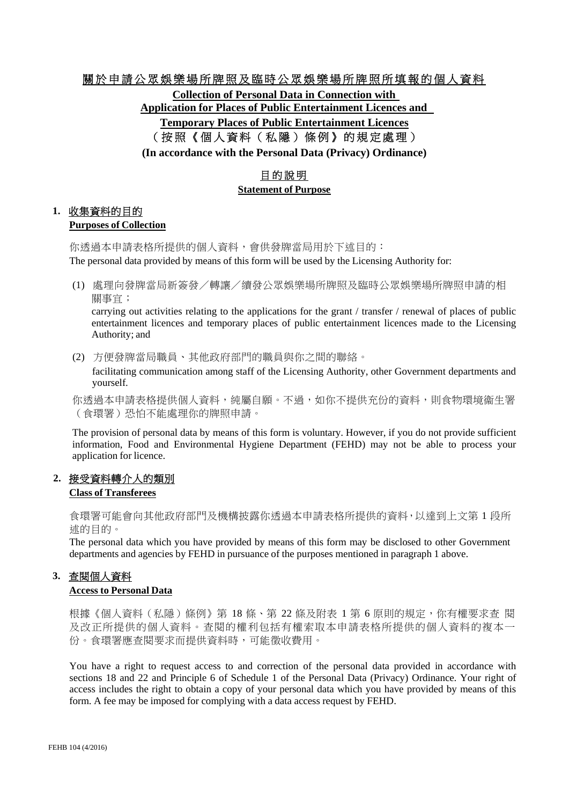# 關於申請公眾娛樂場所牌照及臨時公眾娛樂場所牌照所填報的個人資料

**Collection of Personal Data in Connection with** 

**Application for Places of Public Entertainment Licences and** 

**Temporary Places of Public Entertainment Licences**

( 按 照 《 個 人 資 料 ( 私 隱 ) 條 例 》 的 規 定 處 理 )

**(In accordance with the Personal Data (Privacy) Ordinance)**

# 目 的 說 明 **Statement of Purpose**

#### **1.** 收集資料的目的

#### **Purposes of Collection**

你透過本申請表格所提供的個人資料,會供發牌當局用於下述目的: The personal data provided by means of this form will be used by the Licensing Authority for:

(1) 處理向發牌當局新簽發/轉讓/續發公眾娛樂場所牌照及臨時公眾娛樂場所牌照申請的相 關事宜;

carrying out activities relating to the applications for the grant / transfer / renewal of places of public entertainment licences and temporary places of public entertainment licences made to the Licensing Authority; and

(2) 方便發牌當局職員、其他政府部門的職員與你之間的聯絡。

facilitating communication among staff of the Licensing Authority, other Government departments and yourself.

你透過本申請表格提供個人資料,純屬自願。不過,如你不提供充份的資料,則食物環境衞生署 (食環署)恐怕不能處理你的牌照申請。

The provision of personal data by means of this form is voluntary. However, if you do not provide sufficient information, Food and Environmental Hygiene Department (FEHD) may not be able to process your application for licence.

# **2.** 接受資料轉介人的類別

#### **Class of Transferees**

食環署可能會向其他政府部門及機構披露你透過本申請表格所提供的資料,以達到上文第 1 段所 述的目的。

The personal data which you have provided by means of this form may be disclosed to other Government departments and agencies by FEHD in pursuance of the purposes mentioned in paragraph 1 above.

# **3.** 查閱個人資料

# **Access to Personal Data**

根據《個人資料(私隱)條例》第 18 條、第 22 條及附表 1 第 6 原則的規定,你有權要求杳 閱 及改正所提供的個人資料。查閱的權利包括有權索取本申請表格所提供的個人資料的複本一 份。食環署應查閱要求而提供資料時,可能徵收費用。

You have a right to request access to and correction of the personal data provided in accordance with sections 18 and 22 and Principle 6 of Schedule 1 of the Personal Data (Privacy) Ordinance. Your right of access includes the right to obtain a copy of your personal data which you have provided by means of this form. A fee may be imposed for complying with a data access request by FEHD.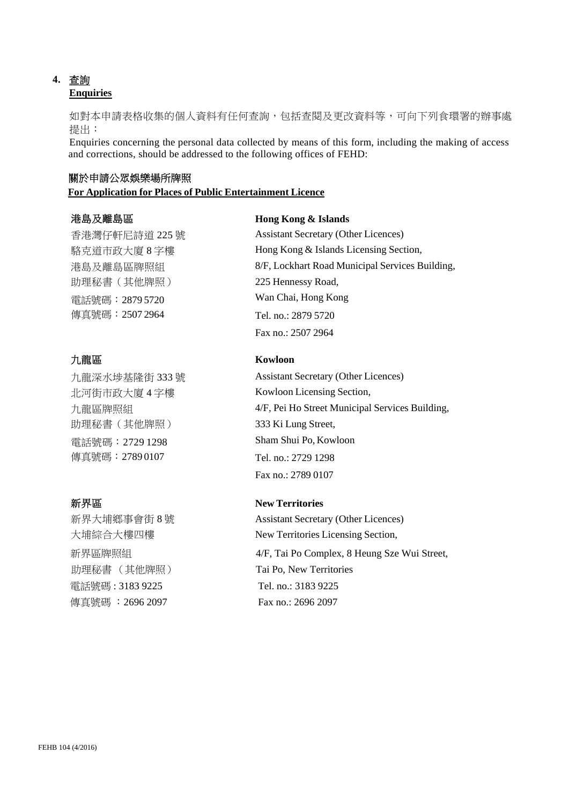#### **4.** 查詢 **Enquiries**

如對本申請表格收集的個人資料有任何查詢,包括查閱及更改資料等,可向下列食環署的辦事處 提出:

Enquiries concerning the personal data collected by means of this form, including the making of access and corrections, should be addressed to the following offices of FEHD:

#### 關於申請公眾娛樂場所牌照

**For Application for Places of Public Entertainment Licence**

助理秘書(其他牌照) 225 Hennessy Road, 電話號碼:2879 5720 Wan Chai, Hong Kong 傳真號碼: 2507 2964 Tel. no.: 2879 5720

助理秘書(其他牌照) 333 Ki Lung Street, 電話號碼:2729 1298 Sham Shui Po, Kowloon 傳真號碼:2789 0107 Tel. no.: 2729 1298

 助理秘書 (其他牌照) Tai Po, New Territories 電話號碼 : 3183 9225 Tel. no.: 3183 9225 傳真號碼 : 2696 2097 Fax no.: 2696 2097

#### 港島及離島區 **Hong Kong & Islands**

香港灣仔軒尼詩道 225 號 Assistant Secretary (Other Licences) 駱克道市政大廈 8 字樓 Hong Kong & Islands Licensing Section, 港島及離島區牌照組 8/F, Lockhart Road Municipal Services Building, Fax no.: 2507 2964

#### 九龍區 **Kowloon**

九龍深水基隆街 333 號 Assistant Secretary (Other Licences) 北河街市政大廈 4 字樓 Kowloon Licensing Section, 九龍區牌照組 4/F, Pei Ho Street Municipal Services Building, Fax no.: 2789 0107

#### 新界區 **New Territories**

新界大埔鄉事會街 8 號 Assistant Secretary (Other Licences) 大埔綜合大樓四樓 New Territories Licensing Section,

新界區牌照組 4/F, Tai Po Complex, 8 Heung Sze Wui Street,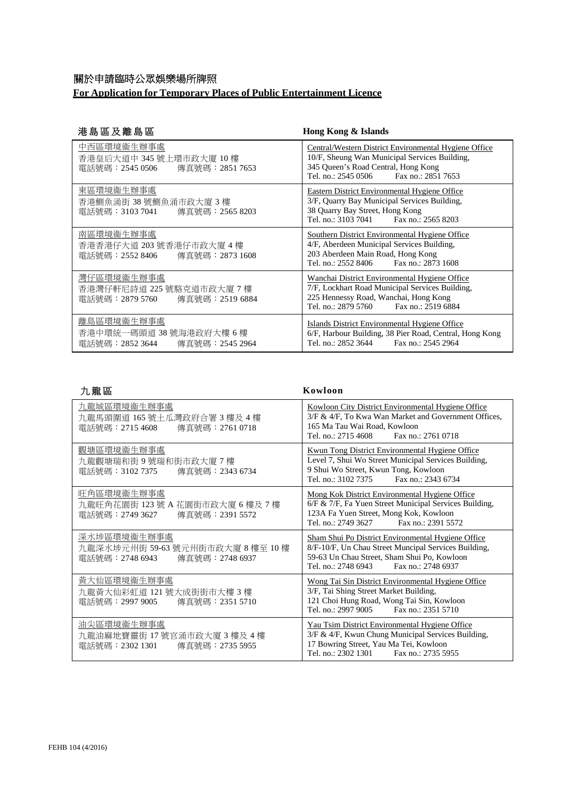# 關於申請臨時公眾娛樂場所牌照

# **For Application for Temporary Places of Public Entertainment Licence**

### 港 島 區 及 離 島 區 **Hong Kong & Islands**

| 中西區環境衞生辦事處<br>香港皇后大道中 345 號上環市政大廈 10 樓<br>電話號碼:2545 0506   傳真號碼:2851 7653   | Central/Western District Environmental Hygiene Office<br>10/F, Sheung Wan Municipal Services Building,<br>345 Queen's Road Central, Hong Kong<br>Fax no.: 2851 7653<br>Tel. no.: 2545 0506 |
|-----------------------------------------------------------------------------|--------------------------------------------------------------------------------------------------------------------------------------------------------------------------------------------|
| 東區環境衞生辦事處<br>香港鰂魚涌街 38 號鰂魚涌市政大廈 3 樓<br>電話號碼:3103 7041 傳真號碼:2565 8203        | Eastern District Environmental Hygiene Office<br>3/F, Quarry Bay Municipal Services Building,<br>38 Quarry Bay Street, Hong Kong<br>Tel. no.: 3103 7041 Fax no.: 2565 8203                 |
| 南區環境衞生辦事處<br>香港香港仔大道 203 號香港仔市政大廈 4 樓<br>電話號碼:2552 8406 傳真號碼:2873 1608      | Southern District Environmental Hygiene Office<br>4/F, Aberdeen Municipal Services Building,<br>203 Aberdeen Main Road, Hong Kong<br>Fax no.: 2873 1608<br>Tel. no.: 2552 8406             |
| 灣仔區環境衞生辦事處<br>香港灣仔軒尼詩道 225 號駱克道市政大廈 7 樓<br>雷話號碼:2879 5760<br>傳真號碼:2519 6884 | Wanchai District Environmental Hygiene Office<br>7/F, Lockhart Road Municipal Services Building,<br>225 Hennessy Road, Wanchai, Hong Kong<br>Tel. no.: 2879 5760 Fax no.: 2519 6884        |
| 離島區環境衞生辦事處<br>香港中環統一碼頭道 38 號海港政府大樓 6 樓<br>電話號碼:2852 3644<br>傳真號碼:2545 2964  | Islands District Environmental Hygiene Office<br>6/F, Harbour Building, 38 Pier Road, Central, Hong Kong<br>Tel. no.: 2852 3644<br>Fax no.: 2545 2964                                      |

# 九 龍 區 **Kowloon**

| 九龍城區環境衞生辦事處<br>九龍馬頭圍道 165 號土瓜灣政府合署 3 樓及 4 樓<br>電話號碼:2715 4608<br>傳真號碼: 2761 0718     | Kowloon City District Environmental Hygiene Office<br>3/F & 4/F, To Kwa Wan Market and Government Offices,<br>165 Ma Tau Wai Road, Kowloon<br>Tel. no.: 2715 4608<br>Fax no.: 2761 0718                |
|--------------------------------------------------------------------------------------|--------------------------------------------------------------------------------------------------------------------------------------------------------------------------------------------------------|
| 觀塘區環境衞生辦事處                                                                           | Kwun Tong District Environmental Hygiene Office                                                                                                                                                        |
| 九龍觀塘瑞和街9號瑞和街市政大廈7樓                                                                   | Level 7, Shui Wo Street Municipal Services Building,                                                                                                                                                   |
| 電話號碼:3102 7375                                                                       | 9 Shui Wo Street, Kwun Tong, Kowloon                                                                                                                                                                   |
| 傳真號碼:2343 6734                                                                       | Tel. no.: 3102 7375 Fax no.: 2343 6734                                                                                                                                                                 |
| 旺角區環境衞生辦事處<br>九龍旺角花園街 123號 A 花園街市政大廈 6 樓及 7 樓<br>電話號碼:2749 3627<br>傳真號碼:2391 5572    | Mong Kok District Environmental Hygiene Office<br>6/F & 7/F, Fa Yuen Street Municipal Services Building,<br>123A Fa Yuen Street, Mong Kok, Kowloon<br>Tel. no.: 2749 3627<br>Fax no.: 2391 5572        |
| 深水埗區環境衞生辦事處<br>九龍深水埗元州街 59-63 號元州街市政大廈 8 樓至 10 樓<br>傳真號碼:2748 6937<br>電話號碼:2748 6943 | Sham Shui Po District Environmental Hygiene Office<br>8/F-10/F, Un Chau Street Muncipal Services Building,<br>59-63 Un Chau Street, Sham Shui Po, Kowloon<br>Tel. no.: 2748 6943<br>Fax no.: 2748 6937 |
| 黃大仙區環境衞生辦事處                                                                          | Wong Tai Sin District Environmental Hygiene Office                                                                                                                                                     |
| 九龍黃大仙彩虹道 121 號大成街街市大樓 3 樓                                                            | 3/F, Tai Shing Street Market Building,                                                                                                                                                                 |
| 傳真號碼:2351 5710                                                                       | 121 Choi Hung Road, Wong Tai Sin, Kowloon                                                                                                                                                              |
| 電話號碼:2997 9005                                                                       | Tel. no.: 2997 9005 Fax no.: 2351 5710                                                                                                                                                                 |
| 油尖區環境衞生辦事處                                                                           | Yau Tsim District Environmental Hygiene Office                                                                                                                                                         |
| 九龍油麻地寶靈街 17號官涌市政大廈 3樓及 4樓                                                            | 3/F & 4/F, Kwun Chung Municipal Services Building,                                                                                                                                                     |
| 電話號碼:2302 1301                                                                       | 17 Bowring Street, Yau Ma Tei, Kowloon                                                                                                                                                                 |
| 傳真號碼:2735 5955                                                                       | Tel. no.: 2302 1301 Fax no.: 2735 5955                                                                                                                                                                 |